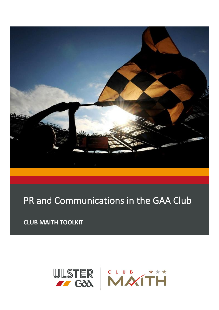

# PR and Communications in the GAA Club

**CLUB MAITH TOOLKIT**

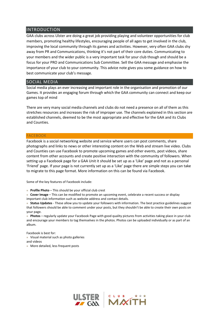# INTRODUCTION

GAA clubs across Ulster are doing a great job providing playing and volunteer opportunities for club members, promoting healthy lifestyles, encouraging people of all ages to get involved in the club, improving the local community through its games and activities. However, very often GAA clubs shy away from PR and Communications, thinking it's not part of their core duties. Communicating to your members and the wider public is a very important task for your club though and should be a focus for your PRO and Communications Sub Committee. Sell the GAA message and emphasise the importance of your club to your community. This advice note gives you some guidance on how to best communicate your club's message.

# SOCIAL MEDIA

Social media plays an ever increasing and important role in the organisation and promotion of our Games. It provides an engaging forum through which the GAA community can connect and keep our games top of mind

There are very many social media channels and clubs do not need a presence on all of them as this stretches resources and increases the risk of improper use. The channels explained in this section are established channels, deemed to be the most appropriate and effective for the GAA and its Clubs and Counties.

#### FACEBOOK

Facebook is a social networking website and service where users can post comments, share photographs and links to news or other interesting content on the Web and stream live video. Clubs and Counties can use Facebook to promote upcoming games and other events, post videos, share content from other accounts and create positive interaction with the community of followers. When setting up a Facebook page for a GAA Unit it should be set up as a 'Like' page and not as a personal 'Friend' page. If your page is not currently set up as a 'Like' page there are simple steps you can take to migrate to this page format. More information on this can be found via Facebook.

Some of the key features of Facebook include:

■ **Profile Photo** – This should be your official club crest

■ Cover Image – This can be modified to promote an upcoming event, celebrate a recent success or display important club information such as website address and contact details.

■ Status Updates - These allow you to update your followers with information. The best practice guidelines suggest that followers should be able to comment under your posts, but they shouldn't be able to create their own posts on your page.

■ Photos – regularly update your Facebook Page with good quality pictures from activities taking place in your club and encourage your members to tag themselves in the photos. Photos can be uploaded individually or as part of an album.

Facebook is best for:

■ Visual material such as photo galleries and videos

■ More detailed, less frequent posts

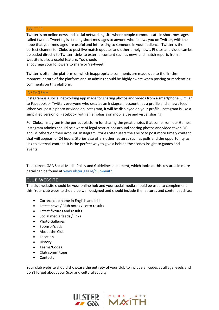## **TWITTER**

Twitter is on online news and social networking site where people communicate in short messages called tweets. Tweeting is sending short messages to anyone who follows you on Twitter, with the hope that your messages are useful and interesting to someone in your audience. Twitter is the perfect channel for Clubs to post live match updates and other timely news. Photos and video can be uploaded directly to Twitter. Links to external content such as news and match reports from a website is also a useful feature. You should encourage your followers to share or 're-tweet'

Twitter is often the platform on which inappropriate comments are made due to the 'in-themoment' nature of the platform and so admins should be highly aware when posting or moderating comments on this platform.

## INSTAGRAM

Instagram is a social networking app made for sharing photos and videos from a smartphone. Similar to Facebook or Twitter, everyone who creates an Instagram account has a profile and a news feed. When you post a photo or video on Instagram, it will be displayed on your profile. Instagram is like a simplified version of Facebook, with an emphasis on mobile use and visual sharing.

For Clubs, Instagram is the perfect platform for sharing the great photos that come from our Games. Instagram admins should be aware of legal restrictions around sharing photos and video taken OF and BY others on their account. Instagram Stories offer users the ability to post more timely content that will appear for 24 hours. Stories also offers other features such as polls and the opportunity to link to external content. It is the perfect way to give a behind the scenes insight to games and events.

The current GAA Social Media Policy and Guidelines document, which looks at this key area in more detail can be found at [www.ulster.gaa.ie/club-maith](http://www.ulster.gaa.ie/club-maith)

# CLUB WEBSITE

The club website should be your online hub and your social media should be used to complement this. Your club website should be well designed and should include the features and content such as:

- Correct club name in English and Irish
- Latest news / Club notes / Lotto results
- Latest fixtures and results
- Social media feeds / links
- Photo Galleries
- Sponsor's ads
- About the Club
- Location
- History
- Teams/Codes
- Club committees
- Contacts

Your club website should showcase the entirety of your club to include all codes at all age levels and don't forget about your Scór and cultural activity.

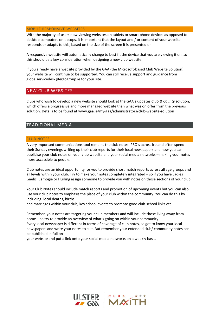#### MOBILE RESPONSIVE WEBSITES

With the majority of users now viewing websites on tablets or smart phone devices as opposed to desktop computers or laptops, it is important that the layout and / or content of your website responds or adapts to this, based on the size of the screen it is presented on.

A responsive website will automatically change to best fit the device that you are viewing it on, so this should be a key consideration when designing a new club website.

If you already have a website provided by the GAA (the Microsoft-based Club Website Solution), your website will continue to be supported. You can still receive support and guidance from globalservicedesk@ergogroup.ie for your site.

# NEW CLUB WEBSITES

Clubs who wish to develop a new website should look at the GAA's updates *Club & County* solution, which offers a progressive and more managed website than what was on offer from the previous solution. Details to be found at www.gaa.ie/my-gaa/administrators/club-website-solution

# TRADITIONAL MEDIA

# CLUB NOTES

A very important communications tool remains the club notes. PRO's across Ireland often spend their Sunday evenings writing up their club reports for their local newspapers and now you can publicise your club notes on your club website and your social media networks – making your notes more accessible to people.

Club notes are an ideal opportunity for you to provide short match reports across all age groups and all levels within your club. Try to make your notes completely integrated – so if you have Ladies Gaelic, Camogie or Hurling assign someone to provide you with notes on those sections of your club.

Your Club Notes should include match reports and promotion of upcoming events but you can also use your club notes to emphasis the place of your club within the community. You can do this by including: local deaths, births

and marriages within your club, key school events to promote good club-school links etc.

Remember, your notes are targeting your club members and will include those living away from home – so try to provide an overview of what's going on within your community. Every local newspaper is different in terms of coverage of club notes, so get to know your local newspapers and write your notes to suit. But remember your extended club/ community notes can be published in full on

your website and put a link onto your social media networks on a weekly basis.

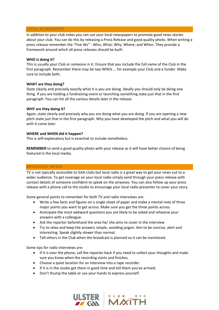#### LOCAL NEWSPAPERS

In addition to your club notes you can use your local newspapers to promote good news stories about your club. You can do this by releasing a Press Release and good quality photo. When writing a press release remember the "Five Ws" - Who; What; Why; Where; and When. They provide a framework around which all press releases should be built:

# **WHO is doing it?**

This is usually your Club or someone in it. Ensure that you include the full name of the Club in the first paragraph. Remember there may be two WHOs … for example your Club and a funder. Make sure to include both.

# **WHAT are they doing?**

State clearly and precisely exactly what it is you are doing. Ideally you should only be doing one thing. If you are holding a fundraising event or launching something state just that in the first paragraph. You can list all the various details later in the release.

## **WHY are they doing it?**

Again, state clearly and precisely why you are doing what you are doing. If you are opening a new pitch state just that in the first paragraph. Why you have developed the pitch and what you will do with it come later

## **WHERE and WHEN did it happen?**

This is self-explanatory but is essential to include nonetheless.

**REMEMBER** to send a good quality photo with your release as it will have better chance of being featured in the local media.

# BROADCAST MEDIA

TV is not typically accessible to GAA clubs but local radio is a great way to get your news out to a wider audience. To get coverage on your local radio simply send through your press release with contact details of someone confident to speak on the airwaves. You can also follow up your press release with a phone call to the studio to encourage your local radio presenter to cover your story.

Some general points to remember for both TV and radio interviews are:

- Write a few facts and figures on a single sheet of paper and make a mental note of three major points you want to get across. Make sure you get the three points across.
- Anticipate the most awkward questions you are likely to be asked and rehearse your answers with a colleague.
- Ask the reporter beforehand the area he/ she aims to cover in the interview
- Try to relax and keep the answers simple, avoiding jargon. Aim to be concise, alert and interesting. Speak slightly slower than normal.
- Tell others in the Club when the broadcast is planned so it can be monitored.

Some tips for radio interviews are:

- If it is over the phone, call the reporter back if you need to collect your thoughts and make sure you know when the recording starts and finishes.
- Choose a quiet location for an interview into a tape recorder.
- If it is in the studio get there in good time and tell them you've arrived.
- Don't thump the table or use your hands to express yourself.